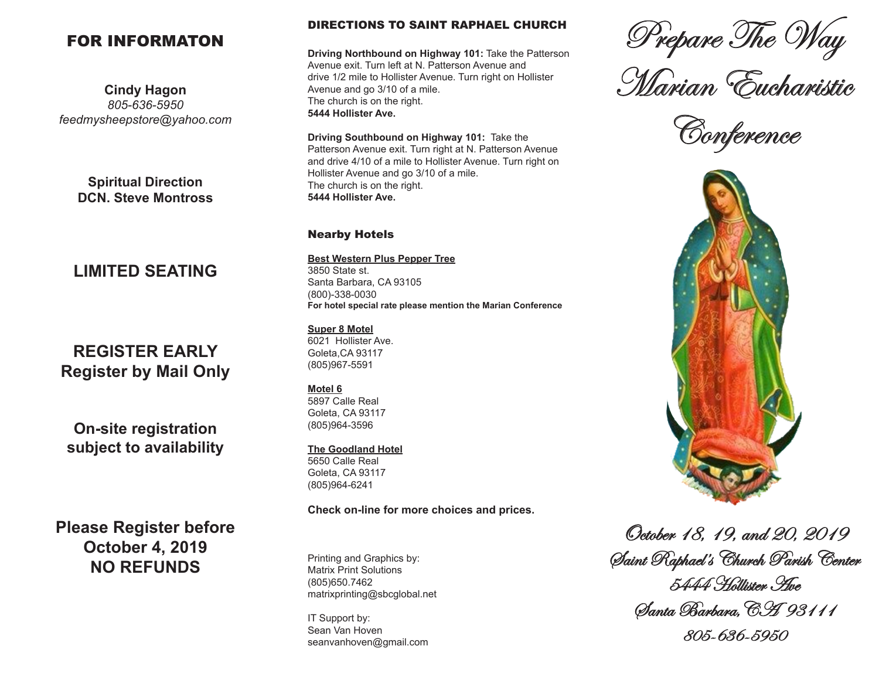## FOR INFORMATON

**Cindy Hagon** *805-636-5950 feedmysheepstore@yahoo.com*

> **Spiritual Direction DCN. Steve Montross**

## **LIMITED SEATING**

# **REGISTER EARLY Register by Mail Only**

**On-site registration subject to availability**

**Please Register before October 4, 2019 NO REFUNDS**

#### DIRECTIONS TO SAINT RAPHAEL CHURCH

**Driving Northbound on Highway 101:** Take the Patterson Avenue exit. Turn left at N. Patterson Avenue and drive 1/2 mile to Hollister Avenue. Turn right on Hollister Avenue and go 3/10 of a mile. The church is on the right. **5444 Hollister Ave.**

**Driving Southbound on Highway 101:** Take the Patterson Avenue exit. Turn right at N. Patterson Avenue and drive 4/10 of a mile to Hollister Avenue. Turn right on Hollister Avenue and go 3/10 of a mile. The church is on the right. **5444 Hollister Ave.** 

#### Nearby Hotels

**Best Western Plus Pepper Tree** 3850 State st. Santa Barbara, CA 93105 (800)-338-0030 **For hotel special rate please mention the Marian Conference**

#### **Super 8 Motel**

6021 Hollister Ave. Goleta,CA 93117 (805)967-5591

#### **Motel 6**

5897 Calle Real Goleta, CA 93117 (805)964-3596

#### **The Goodland Hotel**

5650 Calle Real Goleta, CA 93117 (805)964-6241

**Check on-line for more choices and prices.**

Printing and Graphics by: Matrix Print Solutions (805)650.7462 matrixprinting@sbcglobal.net

IT Support by: Sean Van Hoven seanvanhoven@gmail.com

Prepare The Way

Marian Eucharistic

Conference



October 18, 19, and 20, 2019 Saint Raphael's Church Parish Center 5444 Hollister Plue Santa Barbara,CA 93111 805-636-5950